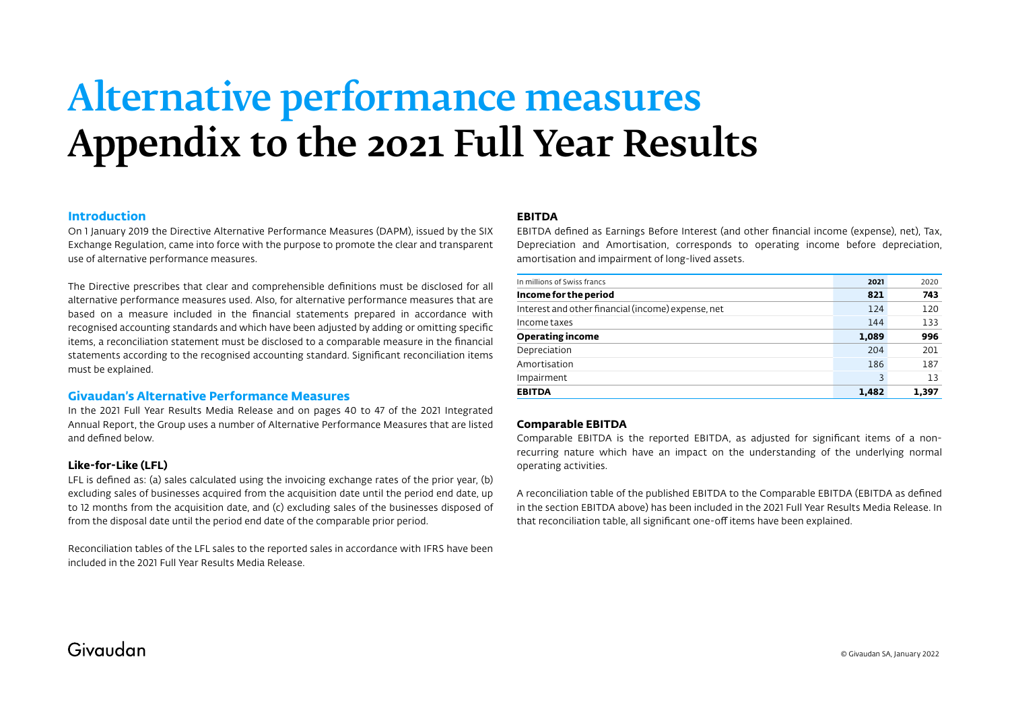# Alternative performance measures Appendix to the 2021 Full Year Results

#### **Introduction**

On 1 January 2019 the Directive Alternative Performance Measures (DAPM), issued by the SIX Exchange Regulation, came into force with the purpose to promote the clear and transparent use of alternative performance measures.

The Directive prescribes that clear and comprehensible definitions must be disclosed for all alternative performance measures used. Also, for alternative performance measures that are based on a measure included in the financial statements prepared in accordance with recognised accounting standards and which have been adjusted by adding or omitting specific items, a reconciliation statement must be disclosed to a comparable measure in the financial statements according to the recognised accounting standard. Significant reconciliation items must be explained.

## **Givaudan's Alternative Performance Measures**

In the 2021 Full Year Results Media Release and on pages 40 to 47 of the 2021 Integrated Annual Report, the Group uses a number of Alternative Performance Measures that are listed and defined below.

## **Like-for-Like (LFL)**

LFL is defined as: (a) sales calculated using the invoicing exchange rates of the prior year, (b) excluding sales of businesses acquired from the acquisition date until the period end date, up to 12 months from the acquisition date, and (c) excluding sales of the businesses disposed of from the disposal date until the period end date of the comparable prior period.

Reconciliation tables of the LFL sales to the reported sales in accordance with IFRS have been included in the 2021 Full Year Results Media Release.

## **EBITDA**

EBITDA defined as Earnings Before Interest (and other financial income (expense), net), Tax, Depreciation and Amortisation, corresponds to operating income before depreciation, amortisation and impairment of long-lived assets.

| In millions of Swiss francs                        | 2021  | 2020  |
|----------------------------------------------------|-------|-------|
| Income for the period                              | 821   | 743   |
| Interest and other financial (income) expense, net | 124   | 120   |
| Income taxes                                       | 144   | 133   |
| <b>Operating income</b>                            | 1,089 | 996   |
| Depreciation                                       | 204   | 201   |
| Amortisation                                       | 186   | 187   |
| Impairment                                         | 3     | 13    |
| <b>EBITDA</b>                                      | 1,482 | 1,397 |

## **Comparable EBITDA**

Comparable EBITDA is the reported EBITDA, as adjusted for significant items of a nonrecurring nature which have an impact on the understanding of the underlying normal operating activities.

A reconciliation table of the published EBITDA to the Comparable EBITDA (EBITDA as defined in the section EBITDA above) has been included in the 2021 Full Year Results Media Release. In that reconciliation table, all significant one-off items have been explained.